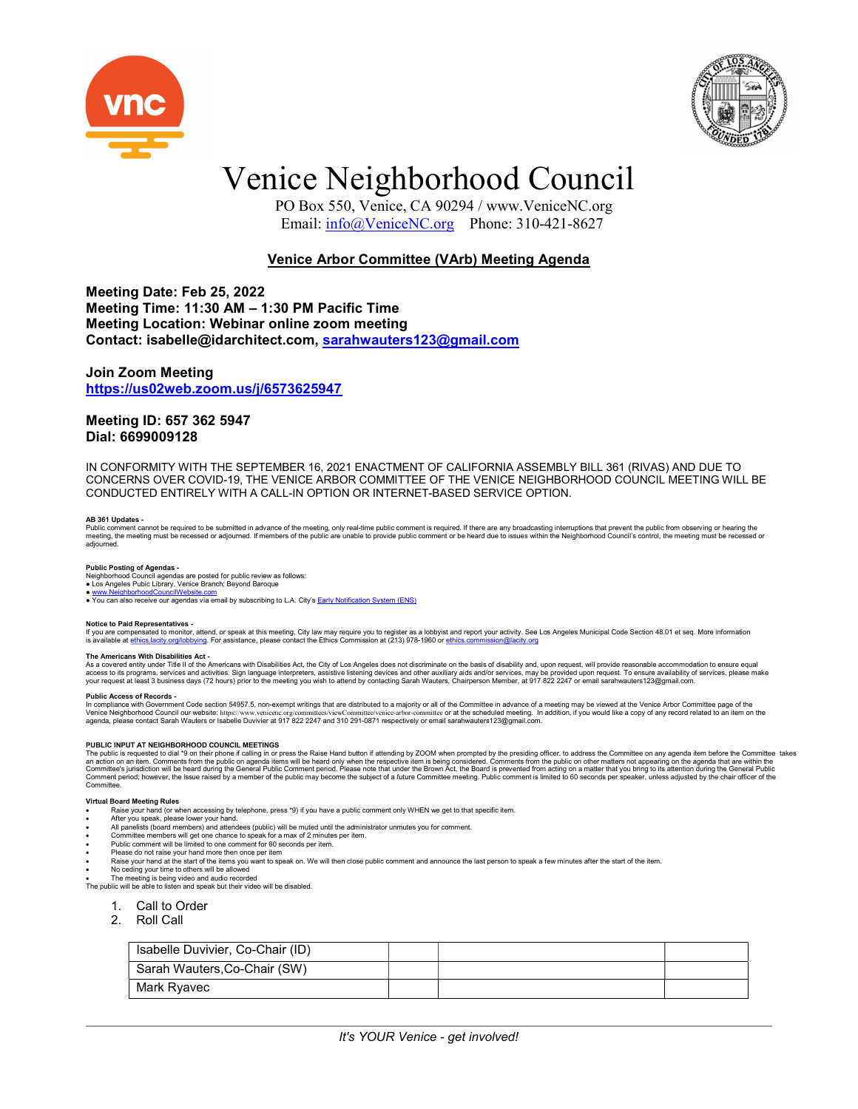



# Venice Neighborhood Council

 PO Box 550, Venice, CA 90294 / www.VeniceNC.org Email: info@VeniceNC.org Phone: 310-421-8627

# Venice Arbor Committee (VArb) Meeting Agenda

Meeting Date: Feb 25, 2022 Meeting Time: 11:30 AM – 1:30 PM Pacific Time Meeting Location: Webinar online zoom meeting Contact: isabelle@idarchitect.com, sarahwauters123@gmail.com

## Join Zoom Meeting https://us02web.zoom.us/j/6573625947

## Meeting ID: 657 362 5947 Dial: 6699009128

IN CONFORMITY WITH THE SEPTEMBER 16, 2021 ENACTMENT OF CALIFORNIA ASSEMBLY BILL 361 (RIVAS) AND DUE TO CONCERNS OVER COVID-19, THE VENICE ARBOR COMMITTEE OF THE VENICE NEIGHBORHOOD COUNCIL MEETING WILL BE CONDUCTED ENTIRELY WITH A CALL-IN OPTION OR INTERNET-BASED SERVICE OPTION.

## AB 361 Updates -

Public comment cannot be required to be submitted in advance of the meeting, only real-time public comment is required. If there are any broadcasting interruptions that prevent the public from observing or hearing the<br>meet

**Public Posting of Agendas -**<br>Neighborhood Council agendas are posted for public review as follows:<br>● Los Angeles Pubic Library, Venice Branch; Beyond Baroque

● <u>www.NeighborhoodCouncilWebsite.com</u><br>● You can also receive our agendas via email by subscribing to L.A. City's <u>Early Notification System (ENS)</u>

### Notice to Paid Representatives -

lf you are compensated to monitor, attend, or speak at this meeting, City law may require you to register as a lobbyist and report your activity. See Los Angeles Municipal Code Section 48.01 et seq. More information<br>is ava

T**he Americans With Disabilities Act -**<br>As a covered entity under Title II of the Americans with Disabilities Act, the City of Los Angeles does not discriminate on the basis of disability and, upon request, will provide re

### Public Access of Records -

In compliance with Government Code section 54957.5, non-exempt writings that are distributed to a majority or all of the Committee in advance of a meeting may be viewed at the Venice Arbor Committee page of the Venice Arb

PUBLIC INPUT AT NEIGHBORHOOD COUNCIL MEETINGS<br>The public is requested to dia <sup>1</sup>9 on their phone if calling in or press the Raise Hand button if attending by ZOOM when prompted by the presiding officer, to address the Comm

### Virtual Board Meeting Rules

- Raise your hand (or when accessing by telephone, press \*9) if you have a public comment only WHEN we get to that specific item.
- After you speak, please lower your hand.
- All panelists (board members) and attendees (public) will be muted until the administrator unmutes you for comment.<br>● Committee members will get one chance to speak for a max of 2 minutes per item.<br>● Public comment will
- 
- Please do not raise your hand more then once per item
- radise your hand at the start of the items you want to speak on. We will then close public comment and announce the last person to speak a few minutes after the start of the item.
- No ceding your time to others will be allowed

The meeting is being video and audio recorded The public will be able to listen and speak but their video will be disabled.

- 1. Call to Order
- 2. Roll Call
- 

| Isabelle Duvivier, Co-Chair (ID) |  |  |
|----------------------------------|--|--|
| Sarah Wauters, Co-Chair (SW)     |  |  |
| Mark Ryavec                      |  |  |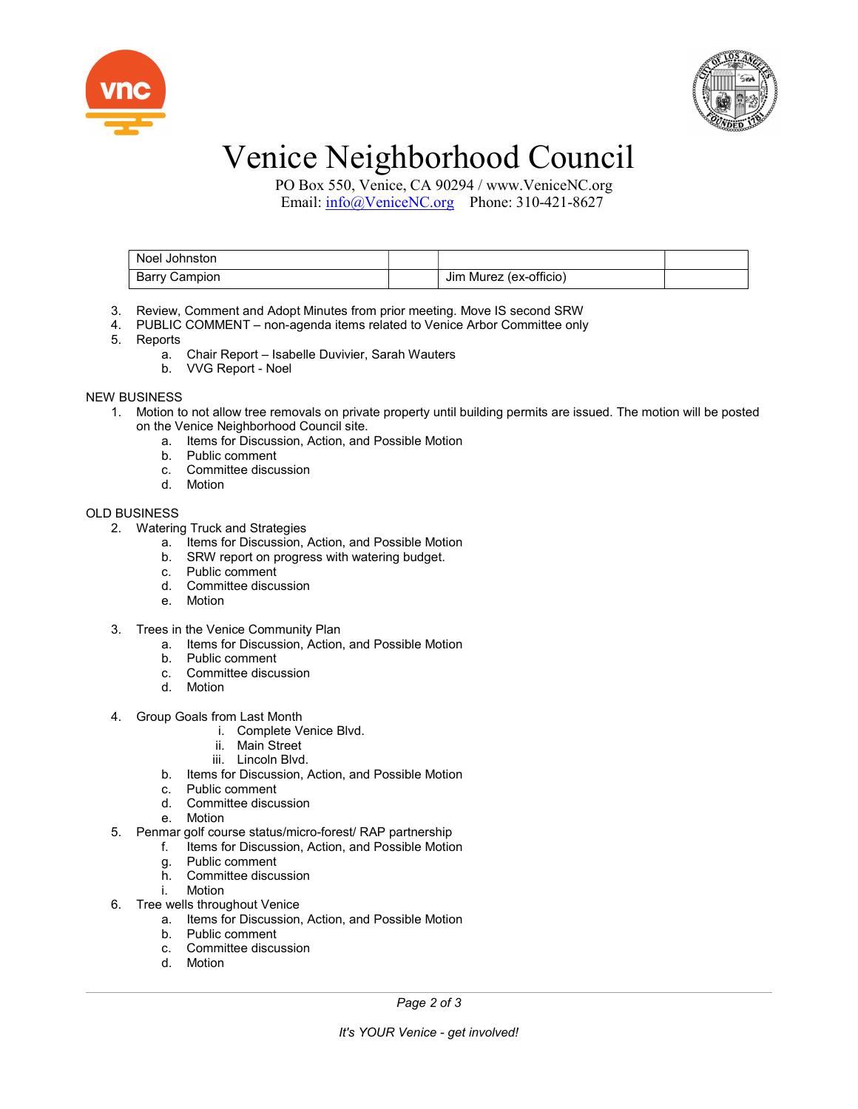



# Venice Neighborhood Council

 PO Box 550, Venice, CA 90294 / www.VeniceNC.org Email: info@VeniceNC.org Phone: 310-421-8627

| Noel Johnston |                        |  |
|---------------|------------------------|--|
| Barry Campion | Jim Murez (ex-officio) |  |

- 3. Review, Comment and Adopt Minutes from prior meeting. Move IS second SRW
- 4. PUBLIC COMMENT non-agenda items related to Venice Arbor Committee only
- 5. Reports
	- a. Chair Report Isabelle Duvivier, Sarah Wauters
	- b. VVG Report Noel

NEW BUSINESS

- 1. Motion to not allow tree removals on private property until building permits are issued. The motion will be posted on the Venice Neighborhood Council site.
	- a. Items for Discussion, Action, and Possible Motion
	- b. Public comment
	- c. Committee discussion
	- d. Motion

## OLD BUSINESS

- 2. Watering Truck and Strategies
	- a. Items for Discussion, Action, and Possible Motion
	- b. SRW report on progress with watering budget.
	- c. Public comment
	- d. Committee discussion
	- e. Motion
- 3. Trees in the Venice Community Plan
	- a. Items for Discussion, Action, and Possible Motion
	- b. Public comment
	- c. Committee discussion
	- d. Motion
- 4. Group Goals from Last Month
	- i. Complete Venice Blvd.
	- ii. Main Street
	- iii. Lincoln Blvd.
	- b. Items for Discussion, Action, and Possible Motion
	- c. Public comment
	- d. Committee discussion
	- e. Motion
- 5. Penmar golf course status/micro-forest/ RAP partnership
	- f. Items for Discussion, Action, and Possible Motion
		- g. Public comment
		- h. Committee discussion
		- i. Motion
- 6. Tree wells throughout Venice
	- a. Items for Discussion, Action, and Possible Motion
	- b. Public comment
	- c. Committee discussion
	- d. Motion